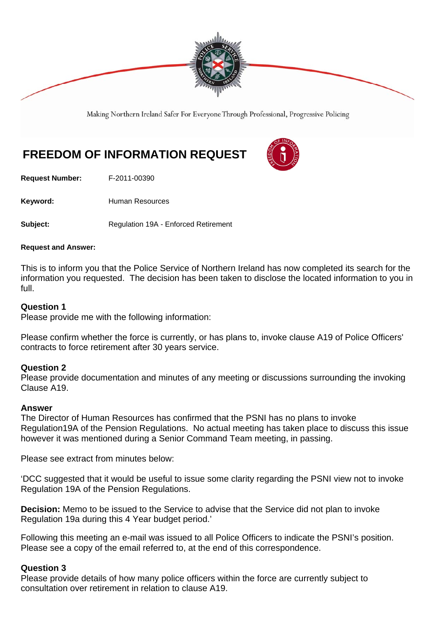

Making Northern Ireland Safer For Everyone Through Professional, Progressive Policing

# **FREEDOM OF INFORMATION REQUEST**

**Request Number:** F-2011-00390

Keyword: **Human Resources** 

**Subject:** Requlation 19A - Enforced Retirement

#### **Request and Answer:**

This is to inform you that the Police Service of Northern Ireland has now completed its search for the information you requested. The decision has been taken to disclose the located information to you in full.

#### **Question 1**

Please provide me with the following information:

Please confirm whether the force is currently, or has plans to, invoke clause A19 of Police Officers' contracts to force retirement after 30 years service.

#### **Question 2**

Please provide documentation and minutes of any meeting or discussions surrounding the invoking Clause A19.

#### **Answer**

The Director of Human Resources has confirmed that the PSNI has no plans to invoke Regulation19A of the Pension Regulations. No actual meeting has taken place to discuss this issue however it was mentioned during a Senior Command Team meeting, in passing.

Please see extract from minutes below:

'DCC suggested that it would be useful to issue some clarity regarding the PSNI view not to invoke Regulation 19A of the Pension Regulations.

**Decision:** Memo to be issued to the Service to advise that the Service did not plan to invoke Regulation 19a during this 4 Year budget period.'

Following this meeting an e-mail was issued to all Police Officers to indicate the PSNI's position. Please see a copy of the email referred to, at the end of this correspondence.

#### **Question 3**

Please provide details of how many police officers within the force are currently subject to consultation over retirement in relation to clause A19.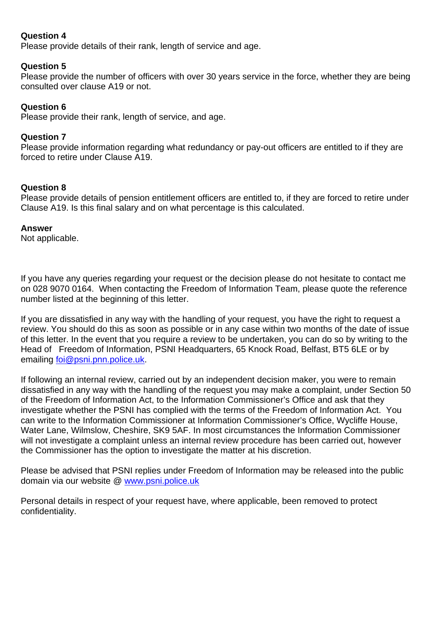## **Question 4**

Please provide details of their rank, length of service and age.

## **Question 5**

Please provide the number of officers with over 30 years service in the force, whether they are being consulted over clause A19 or not.

## **Question 6**

Please provide their rank, length of service, and age.

## **Question 7**

Please provide information regarding what redundancy or pay-out officers are entitled to if they are forced to retire under Clause A19.

## **Question 8**

Please provide details of pension entitlement officers are entitled to, if they are forced to retire under Clause A19. Is this final salary and on what percentage is this calculated.

### **Answer**

Not applicable.

If you have any queries regarding your request or the decision please do not hesitate to contact me on 028 9070 0164. When contacting the Freedom of Information Team, please quote the reference number listed at the beginning of this letter.

If you are dissatisfied in any way with the handling of your request, you have the right to request a review. You should do this as soon as possible or in any case within two months of the date of issue of this letter. In the event that you require a review to be undertaken, you can do so by writing to the Head of Freedom of Information, PSNI Headquarters, 65 Knock Road, Belfast, BT5 6LE or by emailing foi@psni.pnn.police.uk.

If following an internal review, carried out by an independent decision maker, you were to remain dissatisfied in any way with the handling of the request you may make a complaint, under Section 50 of the Freedom of Information Act, to the Information Commissioner's Office and ask that they investigate whether the PSNI has complied with the terms of the Freedom of Information Act. You can write to the Information Commissioner at Information Commissioner's Office, Wycliffe House, Water Lane, Wilmslow, Cheshire, SK9 5AF. In most circumstances the Information Commissioner will not investigate a complaint unless an internal review procedure has been carried out, however the Commissioner has the option to investigate the matter at his discretion.

Please be advised that PSNI replies under Freedom of Information may be released into the public domain via our website @ www.psni.police.uk

Personal details in respect of your request have, where applicable, been removed to protect confidentiality.